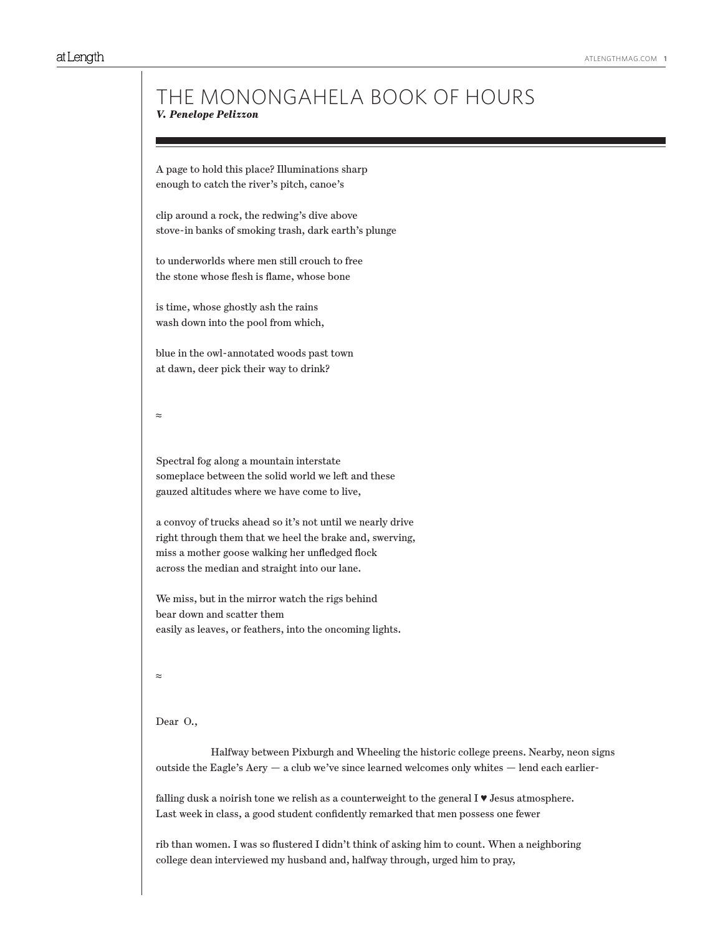# THE MONONGAHELA BOOK OF HOURS *V. Penelope Pelizzon*

A page to hold this place? Illuminations sharp enough to catch the river's pitch, canoe's

clip around a rock, the redwing's dive above stove-in banks of smoking trash, dark earth's plunge

to underworlds where men still crouch to free the stone whose flesh is flame, whose bone

is time, whose ghostly ash the rains wash down into the pool from which,

blue in the owl-annotated woods past town at dawn, deer pick their way to drink?

≈

Spectral fog along a mountain interstate someplace between the solid world we left and these gauzed altitudes where we have come to live,

a convoy of trucks ahead so it's not until we nearly drive right through them that we heel the brake and, swerving, miss a mother goose walking her unfledged flock across the median and straight into our lane.

We miss, but in the mirror watch the rigs behind bear down and scatter them easily as leaves, or feathers, into the oncoming lights.

≈

### Dear O.,

 Halfway between Pixburgh and Wheeling the historic college preens. Nearby, neon signs outside the Eagle's  $Aery - a club we've since learned weleomes only white  $-$  lend each earlier-$ 

falling dusk a noirish tone we relish as a counterweight to the general  $I \blacktriangledown$  Jesus atmosphere. Last week in class, a good student confidently remarked that men possess one fewer

rib than women. I was so flustered I didn't think of asking him to count. When a neighboring college dean interviewed my husband and, halfway through, urged him to pray,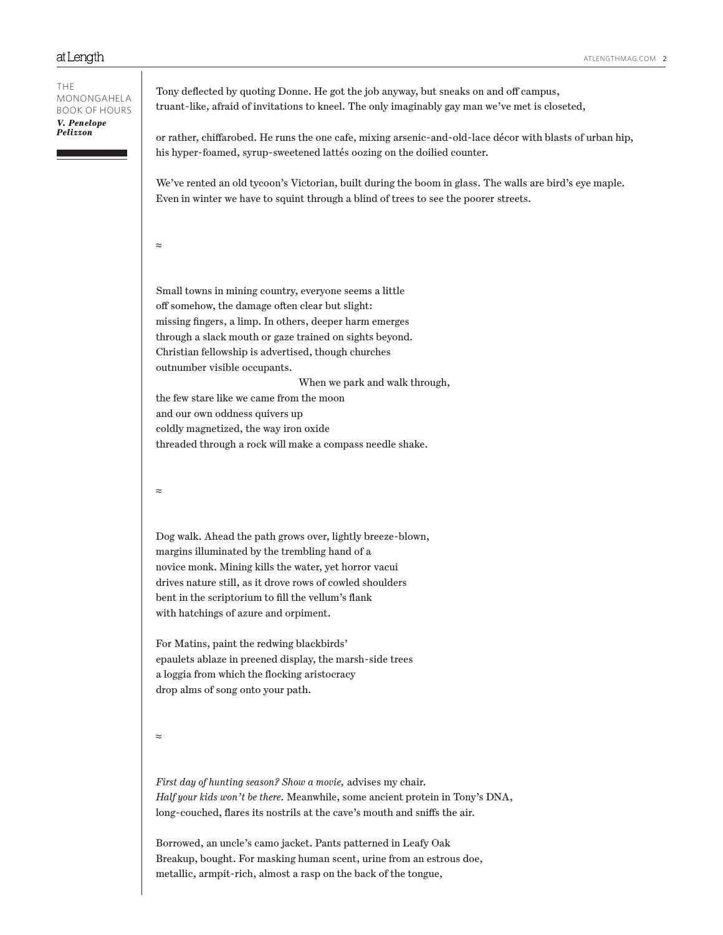Tony deflected by quoting Donne. He got the job anyway, but sneaks on and off campus, truant-like, afraid of invitations to kneel. The only imaginably gay man we've met is closeted, or rather, chiffarobed. He runs the one cafe, mixing arsenic-and-old-lace décor with blasts of urban hip, his hyper-foamed, syrup-sweetened lattés oozing on the doilied counter. We've rented an old tycoon's Victorian, built during the boom in glass. The walls are bird's eye maple. Even in winter we have to squint through a blind of trees to see the poorer streets. ≈ Small towns in mining country, everyone seems a little off somehow, the damage often clear but slight: missing fingers, a limp. In others, deeper harm emerges through a slack mouth or gaze trained on sights beyond. Christian fellowship is advertised, though churches outnumber visible occupants. When we park and walk through, the few stare like we came from the moon and our own oddness quivers up coldly magnetized, the way iron oxide threaded through a rock will make a compass needle shake. ≈ Dog walk. Ahead the path grows over, lightly breeze-blown, margins illuminated by the trembling hand of a novice monk. Mining kills the water, yet horror vacui drives nature still, as it drove rows of cowled shoulders bent in the scriptorium to fill the vellum's flank with hatchings of azure and orpiment. For Matins, paint the redwing blackbirds' epaulets ablaze in preened display, the marsh-side trees a loggia from which the flocking aristocracy drop alms of song onto your path. ≈ *First day of hunting season? Show a movie,* advises my chair. *Half your kids won't be there.* Meanwhile, some ancient protein in Tony's DNA, long-couched, flares its nostrils at the cave's mouth and sniffs the air. Borrowed, an uncle's camo jacket. Pants patterned in Leafy Oak Breakup, bought. For masking human scent, urine from an estrous doe, THE MONONGAHELA BOOK OF HOURS *V. Penelope Pelizzon*

metallic, armpit-rich, almost a rasp on the back of the tongue,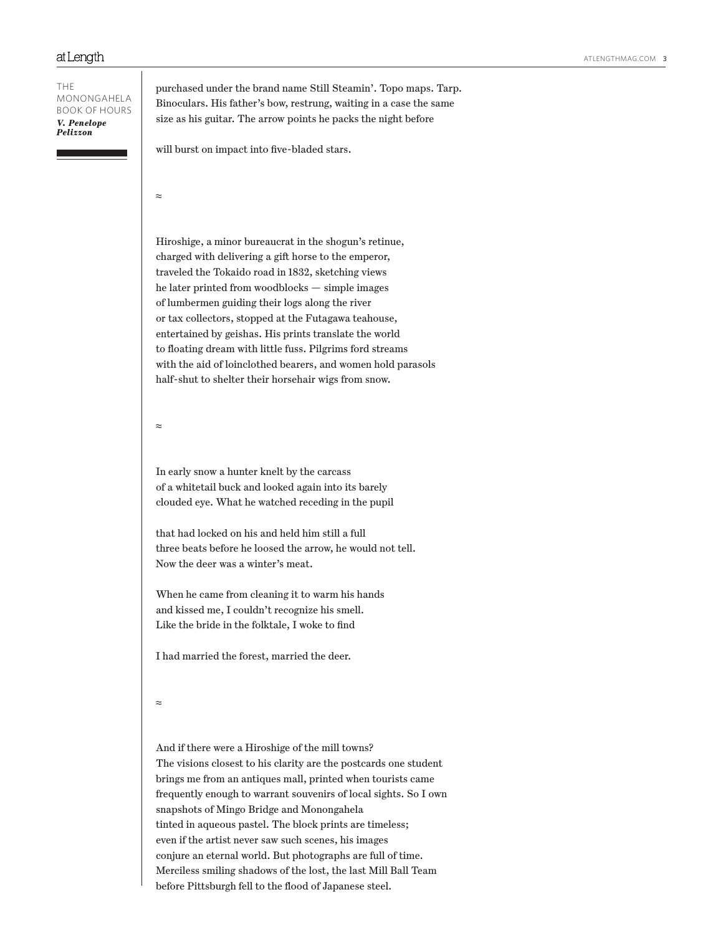THE MONONGAHELA BOOK OF HOURS *V. Penelope Pelizzon*

purchased under the brand name Still Steamin'. Topo maps. Tarp. Binoculars. His father's bow, restrung, waiting in a case the same size as his guitar. The arrow points he packs the night before

will burst on impact into five-bladed stars.

≈

Hiroshige, a minor bureaucrat in the shogun's retinue, charged with delivering a gift horse to the emperor, traveled the Tokaido road in 1832, sketching views he later printed from woodblocks — simple images of lumbermen guiding their logs along the river or tax collectors, stopped at the Futagawa teahouse, entertained by geishas. His prints translate the world to floating dream with little fuss. Pilgrims ford streams with the aid of loinclothed bearers, and women hold parasols half-shut to shelter their horsehair wigs from snow.

≈

In early snow a hunter knelt by the carcass of a whitetail buck and looked again into its barely clouded eye. What he watched receding in the pupil

that had locked on his and held him still a full three beats before he loosed the arrow, he would not tell. Now the deer was a winter's meat.

When he came from cleaning it to warm his hands and kissed me, I couldn't recognize his smell. Like the bride in the folktale, I woke to find

I had married the forest, married the deer.

```
≈
```
And if there were a Hiroshige of the mill towns? The visions closest to his clarity are the postcards one student brings me from an antiques mall, printed when tourists came frequently enough to warrant souvenirs of local sights. So I own snapshots of Mingo Bridge and Monongahela tinted in aqueous pastel. The block prints are timeless; even if the artist never saw such scenes, his images conjure an eternal world. But photographs are full of time. Merciless smiling shadows of the lost, the last Mill Ball Team before Pittsburgh fell to the flood of Japanese steel.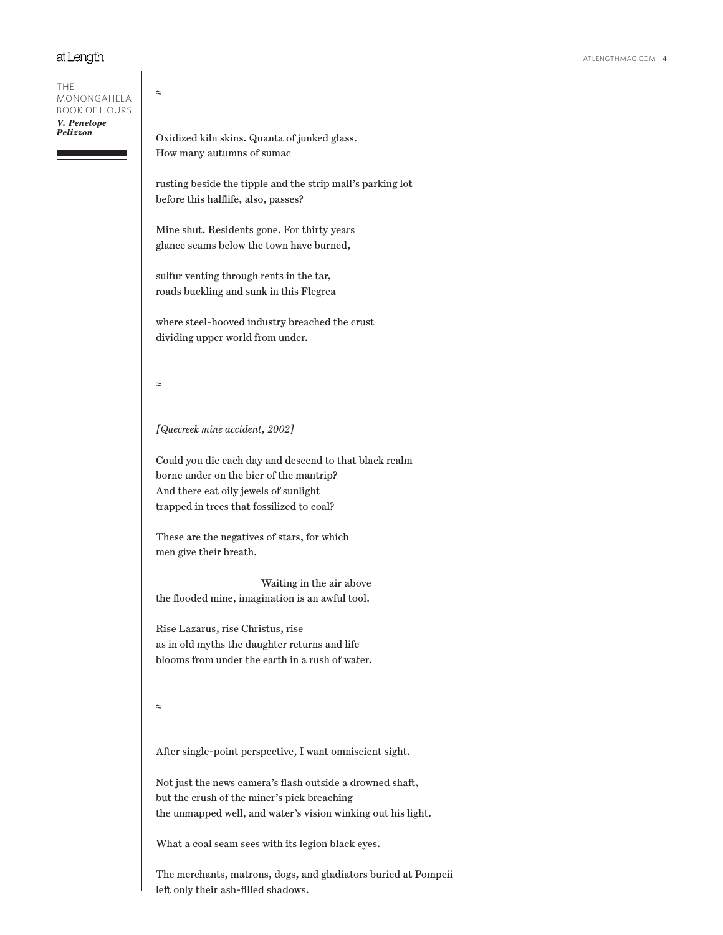THE

≈ Oxidized kiln skins. Quanta of junked glass. How many autumns of sumac rusting beside the tipple and the strip mall's parking lot before this halflife, also, passes? Mine shut. Residents gone. For thirty years glance seams below the town have burned, sulfur venting through rents in the tar, roads buckling and sunk in this Flegrea where steel-hooved industry breached the crust dividing upper world from under. ≈ *[Quecreek mine accident, 2002]* Could you die each day and descend to that black realm borne under on the bier of the mantrip? And there eat oily jewels of sunlight trapped in trees that fossilized to coal? These are the negatives of stars, for which men give their breath. Waiting in the air above the flooded mine, imagination is an awful tool. Rise Lazarus, rise Christus, rise as in old myths the daughter returns and life blooms from under the earth in a rush of water. ≈ After single-point perspective, I want omniscient sight. Not just the news camera's flash outside a drowned shaft, but the crush of the miner's pick breaching the unmapped well, and water's vision winking out his light. What a coal seam sees with its legion black eyes. The merchants, matrons, dogs, and gladiators buried at Pompeii MONONGAHELA BOOK OF HOURS *V. Penelope Pelizzon*

left only their ash-filled shadows.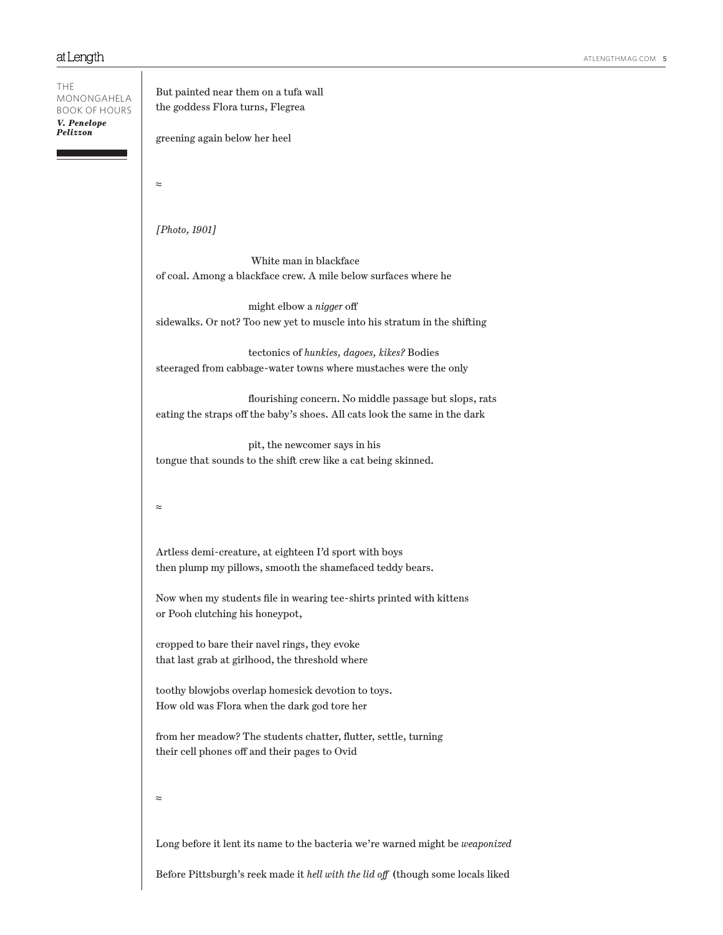THE MONONGAHELA BOOK OF HOURS *V. Penelope Pelizzon*

But painted near them on a tufa wall the goddess Flora turns, Flegrea

greening again below her heel

≈

*[Photo, 1901]*

 White man in blackface of coal. Among a blackface crew. A mile below surfaces where he

 might elbow a *nigger* off sidewalks. Or not? Too new yet to muscle into his stratum in the shifting

 tectonics of *hunkies, dagoes, kikes?* Bodies steeraged from cabbage-water towns where mustaches were the only

 flourishing concern. No middle passage but slops, rats eating the straps off the baby's shoes. All cats look the same in the dark

 pit, the newcomer says in his tongue that sounds to the shift crew like a cat being skinned.

### ≈

Artless demi-creature, at eighteen I'd sport with boys then plump my pillows, smooth the shamefaced teddy bears.

Now when my students file in wearing tee-shirts printed with kittens or Pooh clutching his honeypot,

cropped to bare their navel rings, they evoke that last grab at girlhood, the threshold where

toothy blowjobs overlap homesick devotion to toys. How old was Flora when the dark god tore her

from her meadow? The students chatter, flutter, settle, turning their cell phones off and their pages to Ovid

### ≈

Long before it lent its name to the bacteria we're warned might be *weaponized*

Before Pittsburgh's reek made it *hell with the lid off* (though some locals liked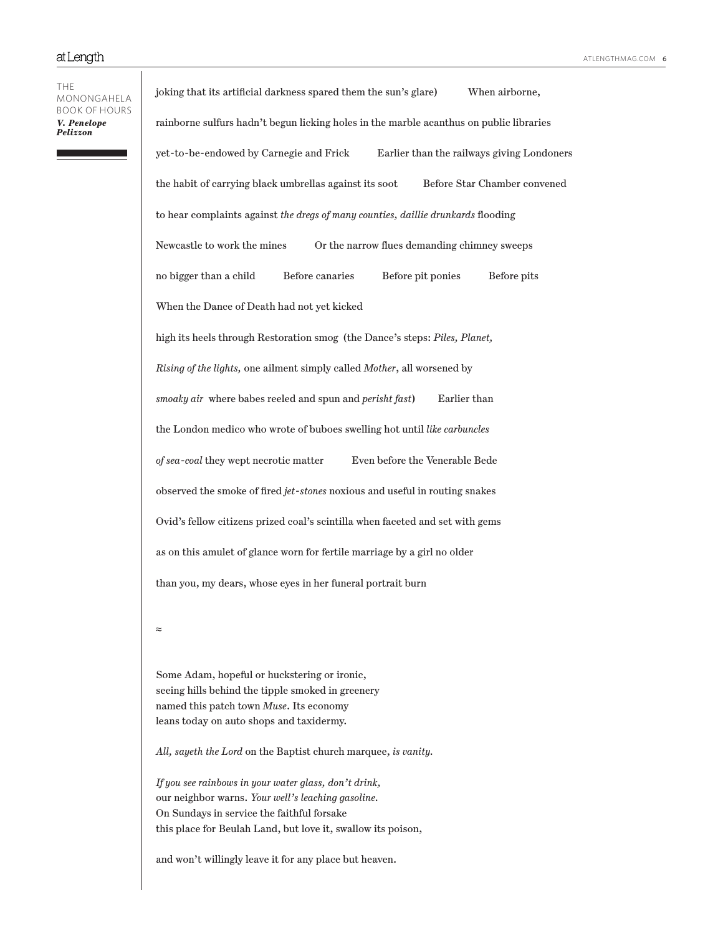THE MONONGAHELA BOOK OF HOURS *V. Penelope Pelizzon*

joking that its artificial darkness spared them the sun's glare) When airborne, rainborne sulfurs hadn't begun licking holes in the marble acanthus on public libraries yet-to-be-endowed by Carnegie and Frick Earlier than the railways giving Londoners the habit of carrying black umbrellas against its soot Before Star Chamber convened to hear complaints against *the dregs of many counties, daillie drunkards* flooding Newcastle to work the mines Or the narrow flues demanding chimney sweeps no bigger than a child Before canaries Before pit ponies Before pits When the Dance of Death had not yet kicked high its heels through Restoration smog (the Dance's steps: *Piles, Planet, Rising of the lights,* one ailment simply called *Mother*, all worsened by *smoaky air* where babes reeled and spun and *perisht fast*) Earlier than the London medico who wrote of buboes swelling hot until *like carbuncles of sea-coal* they wept necrotic matter Even before the Venerable Bede observed the smoke of fired *jet-stones* noxious and useful in routing snakes Ovid's fellow citizens prized coal's scintilla when faceted and set with gems as on this amulet of glance worn for fertile marriage by a girl no older than you, my dears, whose eyes in her funeral portrait burn

≈

Some Adam, hopeful or huckstering or ironic, seeing hills behind the tipple smoked in greenery named this patch town *Muse*. Its economy leans today on auto shops and taxidermy.

*All, sayeth the Lord* on the Baptist church marquee, *is vanity.*

*If you see rainbows in your water glass, don't drink,* our neighbor warns. *Your well's leaching gasoline.* On Sundays in service the faithful forsake this place for Beulah Land, but love it, swallow its poison,

and won't willingly leave it for any place but heaven.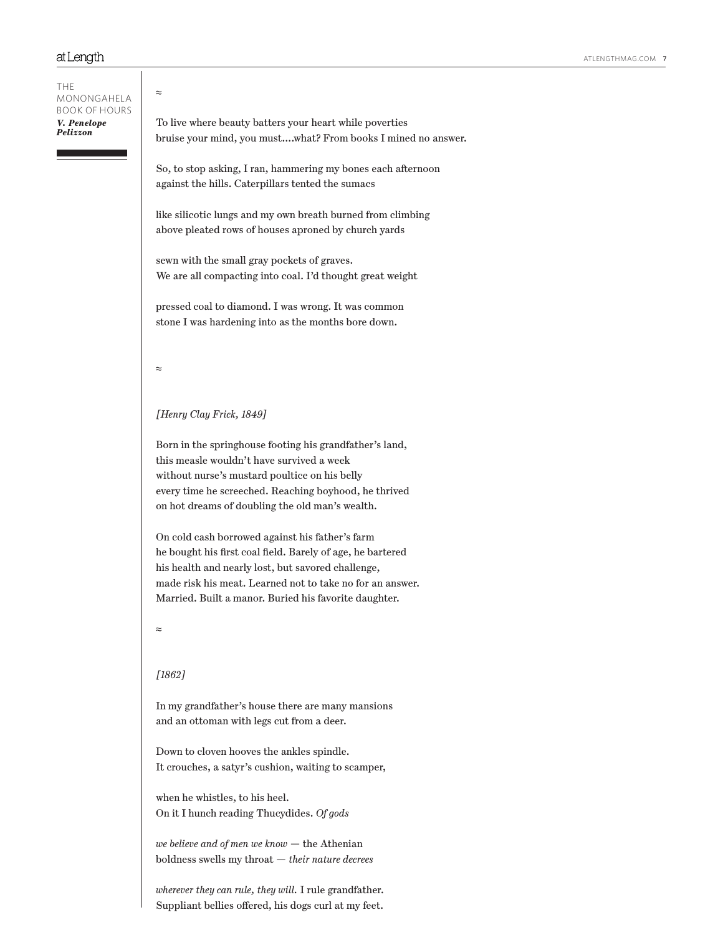# ≈ To live where beauty batters your heart while poverties bruise your mind, you must….what? From books I mined no answer. So, to stop asking, I ran, hammering my bones each afternoon against the hills. Caterpillars tented the sumacs like silicotic lungs and my own breath burned from climbing above pleated rows of houses aproned by church yards sewn with the small gray pockets of graves. We are all compacting into coal. I'd thought great weight pressed coal to diamond. I was wrong. It was common stone I was hardening into as the months bore down. ≈ *[Henry Clay Frick, 1849]* Born in the springhouse footing his grandfather's land, this measle wouldn't have survived a week without nurse's mustard poultice on his belly every time he screeched. Reaching boyhood, he thrived on hot dreams of doubling the old man's wealth. On cold cash borrowed against his father's farm he bought his first coal field. Barely of age, he bartered his health and nearly lost, but savored challenge, made risk his meat. Learned not to take no for an answer. Married. Built a manor. Buried his favorite daughter. ≈ *[1862]* In my grandfather's house there are many mansions and an ottoman with legs cut from a deer. Down to cloven hooves the ankles spindle. It crouches, a satyr's cushion, waiting to scamper, when he whistles, to his heel. On it I hunch reading Thucydides. *Of gods we believe and of men we know* — the Athenian boldness swells my throat — *their nature decrees* THE MONONGAHELA BOOK OF HOURS *V. Penelope Pelizzon*

*wherever they can rule, they will.* I rule grandfather. Suppliant bellies offered, his dogs curl at my feet.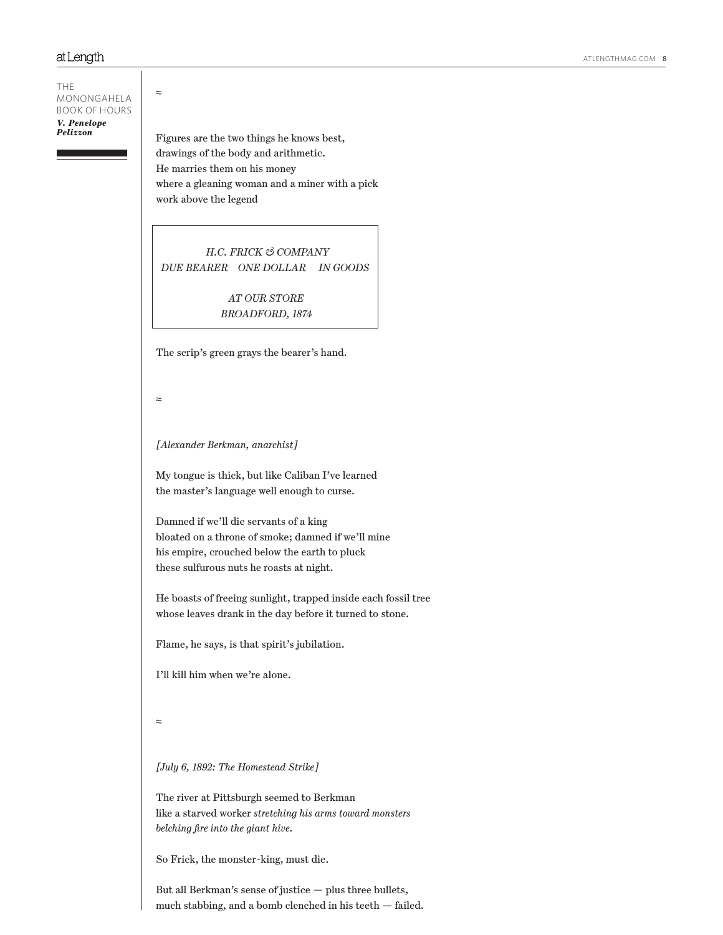THE MONONGAHELA BOOK OF HOURS *V. Penelope Pelizzon*

Figures are the two things he knows best, drawings of the body and arithmetic. He marries them on his money where a gleaning woman and a miner with a pick work above the legend

 *H.C. FRICK & COMPANY DUE BEARER ONE DOLLAR IN GOODS*

> *AT OUR STORE BROADFORD, 1874*

The scrip's green grays the bearer's hand.

≈

≈

Ī

*[Alexander Berkman, anarchist]*

My tongue is thick, but like Caliban I've learned the master's language well enough to curse.

Damned if we'll die servants of a king bloated on a throne of smoke; damned if we'll mine his empire, crouched below the earth to pluck these sulfurous nuts he roasts at night.

He boasts of freeing sunlight, trapped inside each fossil tree whose leaves drank in the day before it turned to stone.

Flame, he says, is that spirit's jubilation.

I'll kill him when we're alone.

≈

*[July 6, 1892: The Homestead Strike]*

The river at Pittsburgh seemed to Berkman like a starved worker *stretching his arms toward monsters belching fire into the giant hive.* 

So Frick, the monster-king, must die.

But all Berkman's sense of justice — plus three bullets, much stabbing, and a bomb clenched in his teeth — failed.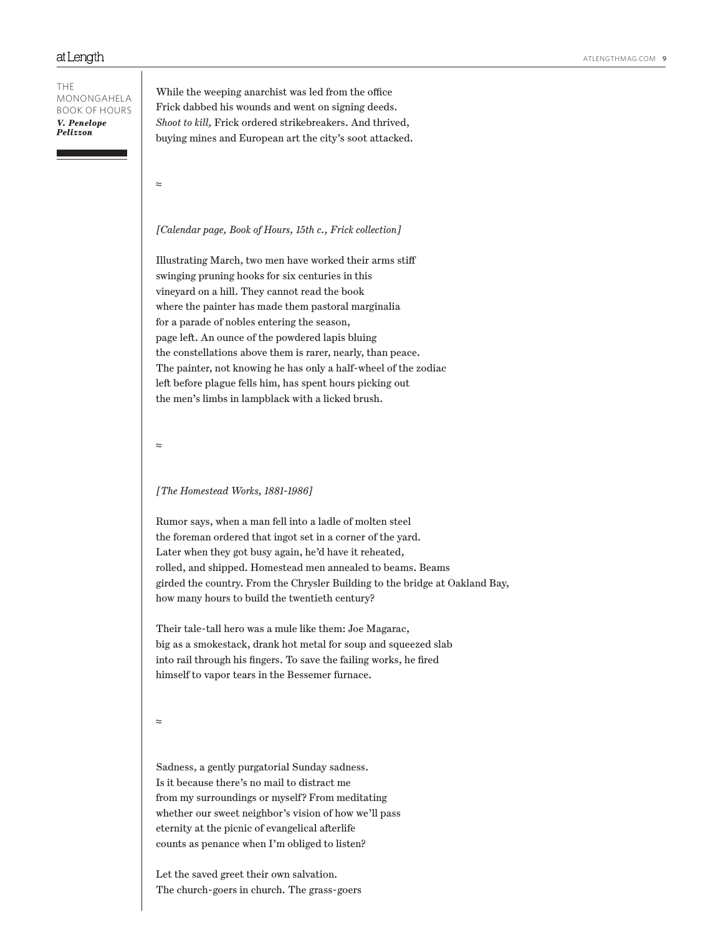THE MONONGAHELA BOOK OF HOURS *V. Penelope Pelizzon*

While the weeping anarchist was led from the office Frick dabbed his wounds and went on signing deeds. *Shoot to kill,* Frick ordered strikebreakers. And thrived, buying mines and European art the city's soot attacked.

≈

#### *[Calendar page, Book of Hours, 15th c., Frick collection]*

Illustrating March, two men have worked their arms stiff swinging pruning hooks for six centuries in this vineyard on a hill. They cannot read the book where the painter has made them pastoral marginalia for a parade of nobles entering the season, page left. An ounce of the powdered lapis bluing the constellations above them is rarer, nearly, than peace. The painter, not knowing he has only a half-wheel of the zodiac left before plague fells him, has spent hours picking out the men's limbs in lampblack with a licked brush.

≈

#### *[The Homestead Works, 1881-1986]*

Rumor says, when a man fell into a ladle of molten steel the foreman ordered that ingot set in a corner of the yard. Later when they got busy again, he'd have it reheated, rolled, and shipped. Homestead men annealed to beams. Beams girded the country. From the Chrysler Building to the bridge at Oakland Bay, how many hours to build the twentieth century?

Their tale-tall hero was a mule like them: Joe Magarac, big as a smokestack, drank hot metal for soup and squeezed slab into rail through his fingers. To save the failing works, he fired himself to vapor tears in the Bessemer furnace.

≈

Sadness, a gently purgatorial Sunday sadness. Is it because there's no mail to distract me from my surroundings or myself? From meditating whether our sweet neighbor's vision of how we'll pass eternity at the picnic of evangelical afterlife counts as penance when I'm obliged to listen?

Let the saved greet their own salvation. The church-goers in church. The grass-goers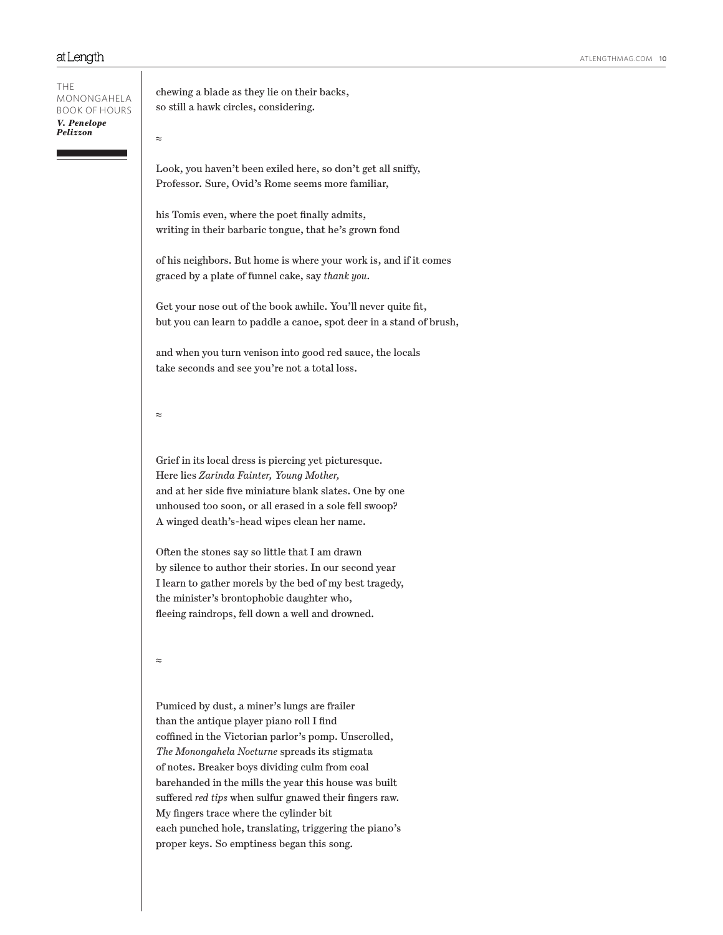THE MONONGAHELA BOOK OF HOURS *V. Penelope Pelizzon*

Look, you haven't been exiled here, so don't get all sniffy,

chewing a blade as they lie on their backs, so still a hawk circles, considering.

his Tomis even, where the poet finally admits, writing in their barbaric tongue, that he's grown fond

Professor. Sure, Ovid's Rome seems more familiar,

of his neighbors. But home is where your work is, and if it comes graced by a plate of funnel cake, say *thank you.* 

Get your nose out of the book awhile. You'll never quite fit, but you can learn to paddle a canoe, spot deer in a stand of brush,

and when you turn venison into good red sauce, the locals take seconds and see you're not a total loss.

≈

≈

Grief in its local dress is piercing yet picturesque. Here lies *Zarinda Fainter, Young Mother,*  and at her side five miniature blank slates. One by one unhoused too soon, or all erased in a sole fell swoop? A winged death's-head wipes clean her name.

Often the stones say so little that I am drawn by silence to author their stories. In our second year I learn to gather morels by the bed of my best tragedy, the minister's brontophobic daughter who, fleeing raindrops, fell down a well and drowned.

≈

Pumiced by dust, a miner's lungs are frailer than the antique player piano roll I find coffined in the Victorian parlor's pomp. Unscrolled, *The Monongahela Nocturne* spreads its stigmata of notes. Breaker boys dividing culm from coal barehanded in the mills the year this house was built suffered *red tips* when sulfur gnawed their fingers raw. My fingers trace where the cylinder bit each punched hole, translating, triggering the piano's proper keys. So emptiness began this song.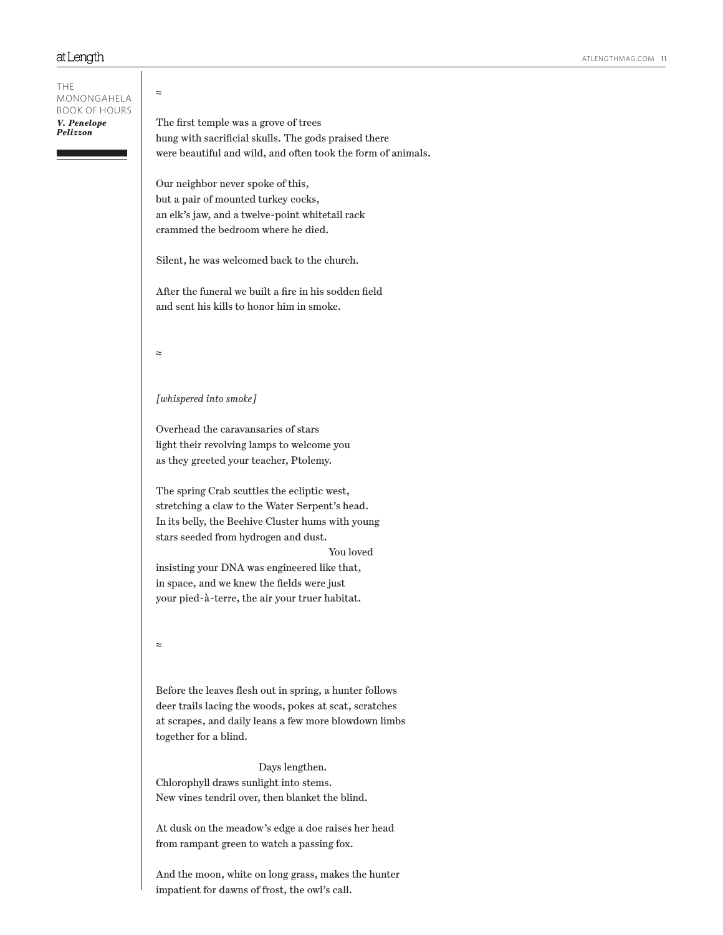# ≈ The first temple was a grove of trees hung with sacrificial skulls. The gods praised there were beautiful and wild, and often took the form of animals. Our neighbor never spoke of this, but a pair of mounted turkey cocks, an elk's jaw, and a twelve-point whitetail rack crammed the bedroom where he died. Silent, he was welcomed back to the church. After the funeral we built a fire in his sodden field and sent his kills to honor him in smoke. ≈ *[whispered into smoke]* Overhead the caravansaries of stars light their revolving lamps to welcome you as they greeted your teacher, Ptolemy. The spring Crab scuttles the ecliptic west, stretching a claw to the Water Serpent's head. In its belly, the Beehive Cluster hums with young stars seeded from hydrogen and dust. You loved insisting your DNA was engineered like that, in space, and we knew the fields were just your pied-à-terre, the air your truer habitat. ≈ Before the leaves flesh out in spring, a hunter follows deer trails lacing the woods, pokes at scat, scratches at scrapes, and daily leans a few more blowdown limbs together for a blind. Days lengthen. Chlorophyll draws sunlight into stems. New vines tendril over, then blanket the blind. At dusk on the meadow's edge a doe raises her head from rampant green to watch a passing fox. THE MONONGAHELA BOOK OF HOURS *V. Penelope Pelizzon*

And the moon, white on long grass, makes the hunter impatient for dawns of frost, the owl's call.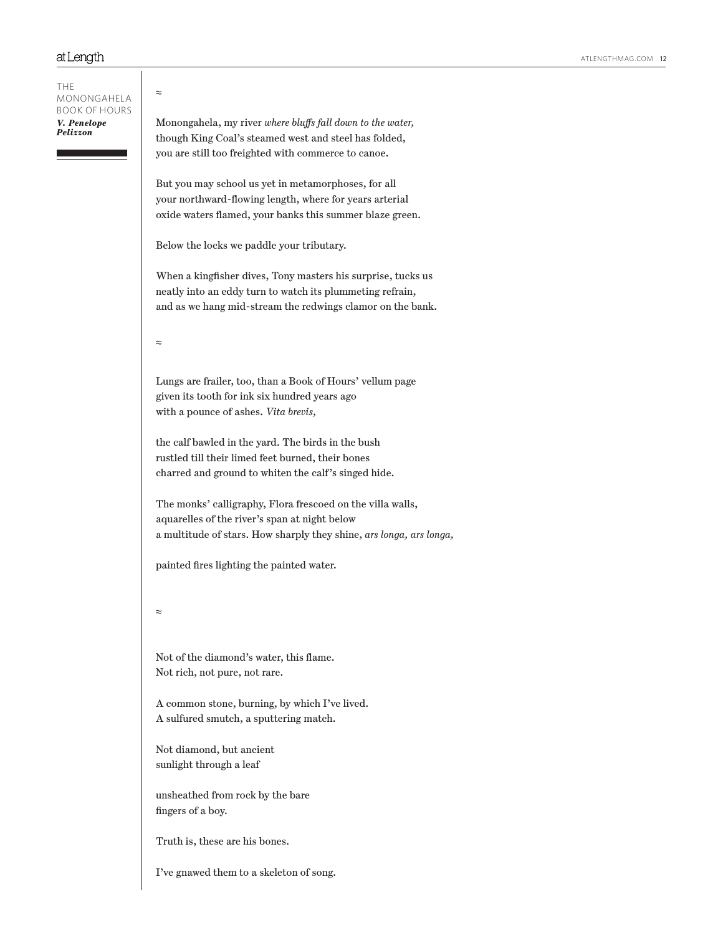| <b>THE</b><br>MONONGAHELA<br><b>BOOK OF HOURS</b><br>V. Penelope<br>Pelizzon | $\approx$                                                                                                                                                                               |
|------------------------------------------------------------------------------|-----------------------------------------------------------------------------------------------------------------------------------------------------------------------------------------|
|                                                                              | Monongahela, my river where bluffs fall down to the water,<br>though King Coal's steamed west and steel has folded,                                                                     |
|                                                                              | you are still too freighted with commerce to canoe.                                                                                                                                     |
|                                                                              | But you may school us yet in metamorphoses, for all<br>your northward-flowing length, where for years arterial                                                                          |
|                                                                              | oxide waters flamed, your banks this summer blaze green.                                                                                                                                |
|                                                                              | Below the locks we paddle your tributary.                                                                                                                                               |
|                                                                              | When a kingfisher dives, Tony masters his surprise, tucks us<br>neatly into an eddy turn to watch its plummeting refrain,<br>and as we hang mid-stream the redwings clamor on the bank. |
|                                                                              | $\approx$                                                                                                                                                                               |
|                                                                              | Lungs are frailer, too, than a Book of Hours' vellum page                                                                                                                               |
|                                                                              | given its tooth for ink six hundred years ago<br>with a pounce of ashes. Vita brevis,                                                                                                   |
|                                                                              |                                                                                                                                                                                         |
|                                                                              | the calf bawled in the yard. The birds in the bush<br>rustled till their limed feet burned, their bones                                                                                 |
|                                                                              | charred and ground to whiten the calf's singed hide.                                                                                                                                    |
|                                                                              | The monks' calligraphy, Flora frescoed on the villa walls,                                                                                                                              |
|                                                                              | aquarelles of the river's span at night below<br>a multitude of stars. How sharply they shine, ars longa, ars longa,                                                                    |
|                                                                              |                                                                                                                                                                                         |
|                                                                              | painted fires lighting the painted water.                                                                                                                                               |
|                                                                              | $\approx$                                                                                                                                                                               |
|                                                                              | Not of the diamond's water, this flame.<br>Not rich, not pure, not rare.                                                                                                                |
|                                                                              | A common stone, burning, by which I've lived.<br>A sulfured smutch, a sputtering match.                                                                                                 |
|                                                                              | Not diamond, but ancient<br>sunlight through a leaf                                                                                                                                     |
|                                                                              | unsheathed from rock by the bare<br>fingers of a boy.                                                                                                                                   |
|                                                                              | Truth is, these are his bones.                                                                                                                                                          |

I've gnawed them to a skeleton of song.